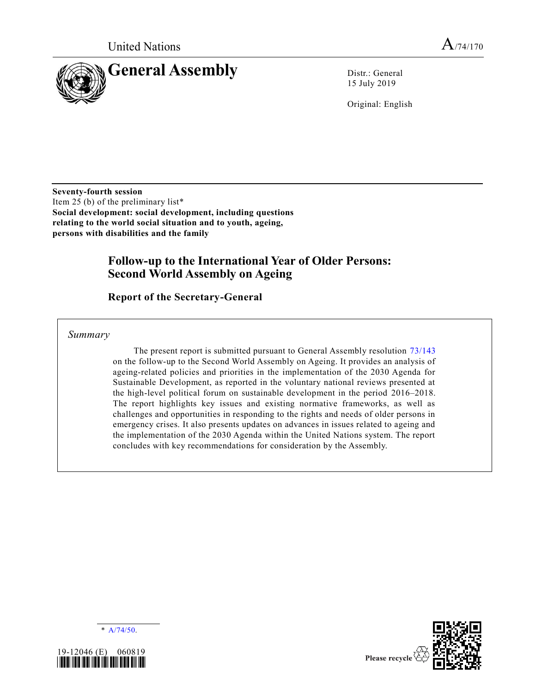

15 July 2019

Original: English

**Seventy-fourth session** Item 25 (b) of the preliminary list\* **Social development: social development, including questions relating to the world social situation and to youth, ageing, persons with disabilities and the family**

# **Follow-up to the International Year of Older Persons: Second World Assembly on Ageing**

**Report of the Secretary-General** 

*Summary*

The present report is submitted pursuant to General Assembly resolution [73/143](https://undocs.org/en/A/RES/73/143) on the follow-up to the Second World Assembly on Ageing. It provides an analysis of ageing-related policies and priorities in the implementation of the 2030 Agenda for Sustainable Development, as reported in the voluntary national reviews presented at the high-level political forum on sustainable development in the period 2016–2018. The report highlights key issues and existing normative frameworks, as well as challenges and opportunities in responding to the rights and needs of older persons in emergency crises. It also presents updates on advances in issues related to ageing and the implementation of the 2030 Agenda within the United Nations system. The report concludes with key recommendations for consideration by the Assembly.





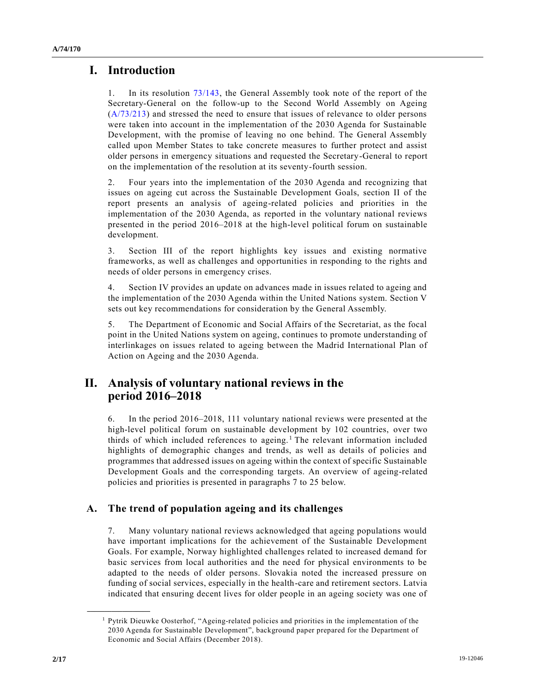# **I. Introduction**

1. In its resolution [73/143,](https://undocs.org/en/A/RES/73/143) the General Assembly took note of the report of the Secretary-General on the follow-up to the Second World Assembly on Ageing [\(A/73/213\)](https://undocs.org/en/A/73/213) and stressed the need to ensure that issues of relevance to older persons were taken into account in the implementation of the 2030 Agenda for Sustainable Development, with the promise of leaving no one behind. The General Assembly called upon Member States to take concrete measures to further protect and assist older persons in emergency situations and requested the Secretary-General to report on the implementation of the resolution at its seventy-fourth session.

2. Four years into the implementation of the 2030 Agenda and recognizing that issues on ageing cut across the Sustainable Development Goals, section II of the report presents an analysis of ageing-related policies and priorities in the implementation of the 2030 Agenda, as reported in the voluntary national reviews presented in the period 2016–2018 at the high-level political forum on sustainable development.

3. Section III of the report highlights key issues and existing normative frameworks, as well as challenges and opportunities in responding to the rights and needs of older persons in emergency crises.

4. Section IV provides an update on advances made in issues related to ageing and the implementation of the 2030 Agenda within the United Nations system. Section V sets out key recommendations for consideration by the General Assembly.

5. The Department of Economic and Social Affairs of the Secretariat, as the focal point in the United Nations system on ageing, continues to promote understanding of interlinkages on issues related to ageing between the Madrid International Plan of Action on Ageing and the 2030 Agenda.

# **II. Analysis of voluntary national reviews in the period 2016–2018**

6. In the period 2016–2018, 111 voluntary national reviews were presented at the high-level political forum on sustainable development by 102 countries, over two thirds of which included references to ageing.<sup>1</sup> The relevant information included highlights of demographic changes and trends, as well as details of policies and programmes that addressed issues on ageing within the context of specific Sustainable Development Goals and the corresponding targets. An overview of ageing-related policies and priorities is presented in paragraphs 7 to 25 below.

# **A. The trend of population ageing and its challenges**

7. Many voluntary national reviews acknowledged that ageing populations would have important implications for the achievement of the Sustainable Development Goals. For example, Norway highlighted challenges related to increased demand for basic services from local authorities and the need for physical environments to be adapted to the needs of older persons. Slovakia noted the increased pressure on funding of social services, especially in the health-care and retirement sectors. Latvia indicated that ensuring decent lives for older people in an ageing society was one of

<sup>1</sup> Pytrik Dieuwke Oosterhof, "Ageing-related policies and priorities in the implementation of the 2030 Agenda for Sustainable Development", background paper prepared for the Department of Economic and Social Affairs (December 2018).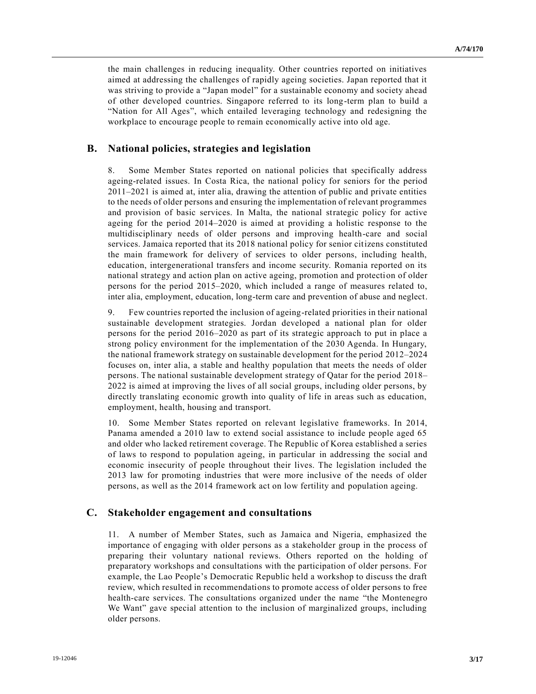the main challenges in reducing inequality. Other countries reported on initiatives aimed at addressing the challenges of rapidly ageing societies. Japan reported that it was striving to provide a "Japan model" for a sustainable economy and society ahead of other developed countries. Singapore referred to its long-term plan to build a "Nation for All Ages", which entailed leveraging technology and redesigning the workplace to encourage people to remain economically active into old age.

## **B. National policies, strategies and legislation**

8. Some Member States reported on national policies that specifically address ageing-related issues. In Costa Rica, the national policy for seniors for the period 2011–2021 is aimed at, inter alia, drawing the attention of public and private entities to the needs of older persons and ensuring the implementation of relevant programmes and provision of basic services. In Malta, the national strategic policy for active ageing for the period 2014–2020 is aimed at providing a holistic response to the multidisciplinary needs of older persons and improving health-care and social services. Jamaica reported that its 2018 national policy for senior citizens constituted the main framework for delivery of services to older persons, including health, education, intergenerational transfers and income security. Romania reported on its national strategy and action plan on active ageing, promotion and protection of older persons for the period 2015–2020, which included a range of measures related to, inter alia, employment, education, long-term care and prevention of abuse and neglect.

9. Few countries reported the inclusion of ageing-related priorities in their national sustainable development strategies. Jordan developed a national plan for older persons for the period 2016–2020 as part of its strategic approach to put in place a strong policy environment for the implementation of the 2030 Agenda. In Hungary, the national framework strategy on sustainable development for the period 2012–2024 focuses on, inter alia, a stable and healthy population that meets the needs of older persons. The national sustainable development strategy of Qatar for the period 2018– 2022 is aimed at improving the lives of all social groups, including older persons, by directly translating economic growth into quality of life in areas such as education, employment, health, housing and transport.

10. Some Member States reported on relevant legislative frameworks. In 2014, Panama amended a 2010 law to extend social assistance to include people aged 65 and older who lacked retirement coverage. The Republic of Korea established a series of laws to respond to population ageing, in particular in addressing the social and economic insecurity of people throughout their lives. The legislation included the 2013 law for promoting industries that were more inclusive of the needs of older persons, as well as the 2014 framework act on low fertility and population ageing.

### **C. Stakeholder engagement and consultations**

11. A number of Member States, such as Jamaica and Nigeria, emphasized the importance of engaging with older persons as a stakeholder group in the process of preparing their voluntary national reviews. Others reported on the holding of preparatory workshops and consultations with the participation of older persons. For example, the Lao People's Democratic Republic held a workshop to discuss the draft review, which resulted in recommendations to promote access of older persons to free health-care services. The consultations organized under the name "the Montenegro We Want" gave special attention to the inclusion of marginalized groups, including older persons.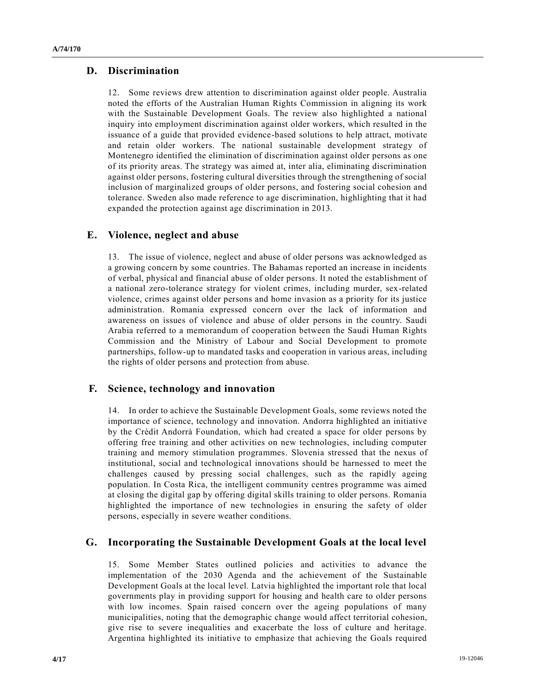# **D. Discrimination**

12. Some reviews drew attention to discrimination against older people. Australia noted the efforts of the Australian Human Rights Commission in aligning its work with the Sustainable Development Goals. The review also highlighted a national inquiry into employment discrimination against older workers, which resulted in the issuance of a guide that provided evidence-based solutions to help attract, motivate and retain older workers. The national sustainable development strategy of Montenegro identified the elimination of discrimination against older persons as one of its priority areas. The strategy was aimed at, inter alia, eliminating discrimination against older persons, fostering cultural diversities through the strengthening of social inclusion of marginalized groups of older persons, and fostering social cohesion and tolerance. Sweden also made reference to age discrimination, highlighting that it had expanded the protection against age discrimination in 2013.

## **E. Violence, neglect and abuse**

13. The issue of violence, neglect and abuse of older persons was acknowledged as a growing concern by some countries. The Bahamas reported an increase in incidents of verbal, physical and financial abuse of older persons. It noted the establishment of a national zero-tolerance strategy for violent crimes, including murder, sex-related violence, crimes against older persons and home invasion as a priority for its justice administration. Romania expressed concern over the lack of information and awareness on issues of violence and abuse of older persons in the country. Saudi Arabia referred to a memorandum of cooperation between the Saudi Human Rights Commission and the Ministry of Labour and Social Development to promote partnerships, follow-up to mandated tasks and cooperation in various areas, including the rights of older persons and protection from abuse.

## **F. Science, technology and innovation**

14. In order to achieve the Sustainable Development Goals, some reviews noted the importance of science, technology and innovation. Andorra highlighted an initiative by the Crèdit Andorrà Foundation, which had created a space for older persons by offering free training and other activities on new technologies, including computer training and memory stimulation programmes. Slovenia stressed that the nexus of institutional, social and technological innovations should be harnessed to meet the challenges caused by pressing social challenges, such as the rapidly ageing population. In Costa Rica, the intelligent community centres programme was aimed at closing the digital gap by offering digital skills training to older persons. Romania highlighted the importance of new technologies in ensuring the safety of older persons, especially in severe weather conditions.

### **G. Incorporating the Sustainable Development Goals at the local level**

15. Some Member States outlined policies and activities to advance the implementation of the 2030 Agenda and the achievement of the Sustainable Development Goals at the local level. Latvia highlighted the important role that local governments play in providing support for housing and health care to older persons with low incomes. Spain raised concern over the ageing populations of many municipalities, noting that the demographic change would affect territorial cohesion, give rise to severe inequalities and exacerbate the loss of culture and heritage. Argentina highlighted its initiative to emphasize that achieving the Goals required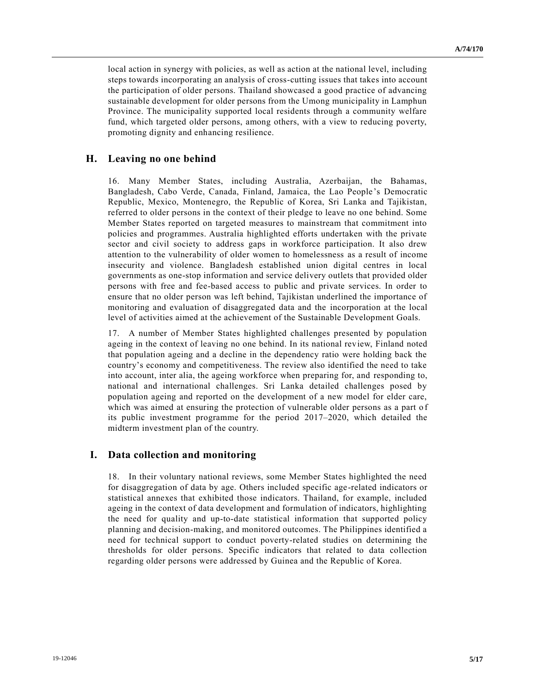local action in synergy with policies, as well as action at the national level, including steps towards incorporating an analysis of cross-cutting issues that takes into account the participation of older persons. Thailand showcased a good practice of advancing sustainable development for older persons from the Umong municipality in Lamphun Province. The municipality supported local residents through a community welfare fund, which targeted older persons, among others, with a view to reducing poverty, promoting dignity and enhancing resilience.

## **H. Leaving no one behind**

16. Many Member States, including Australia, Azerbaijan, the Bahamas, Bangladesh, Cabo Verde, Canada, Finland, Jamaica, the Lao People's Democratic Republic, Mexico, Montenegro, the Republic of Korea, Sri Lanka and Tajikistan, referred to older persons in the context of their pledge to leave no one behind. Some Member States reported on targeted measures to mainstream that commitment into policies and programmes. Australia highlighted efforts undertaken with the private sector and civil society to address gaps in workforce participation. It also drew attention to the vulnerability of older women to homelessness as a result of income insecurity and violence. Bangladesh established union digital centres in local governments as one-stop information and service delivery outlets that provided older persons with free and fee-based access to public and private services. In order to ensure that no older person was left behind, Tajikistan underlined the importance of monitoring and evaluation of disaggregated data and the incorporation at the local level of activities aimed at the achievement of the Sustainable Development Goals.

17. A number of Member States highlighted challenges presented by population ageing in the context of leaving no one behind. In its national review, Finland noted that population ageing and a decline in the dependency ratio were holding back the country's economy and competitiveness. The review also identified the need to take into account, inter alia, the ageing workforce when preparing for, and responding to, national and international challenges. Sri Lanka detailed challenges posed by population ageing and reported on the development of a new model for elder care, which was aimed at ensuring the protection of vulnerable older persons as a part of its public investment programme for the period 2017–2020, which detailed the midterm investment plan of the country.

## **I. Data collection and monitoring**

18. In their voluntary national reviews, some Member States highlighted the need for disaggregation of data by age. Others included specific age-related indicators or statistical annexes that exhibited those indicators. Thailand, for example, included ageing in the context of data development and formulation of indicators, highlighting the need for quality and up-to-date statistical information that supported policy planning and decision-making, and monitored outcomes. The Philippines identified a need for technical support to conduct poverty-related studies on determining the thresholds for older persons. Specific indicators that related to data collection regarding older persons were addressed by Guinea and the Republic of Korea.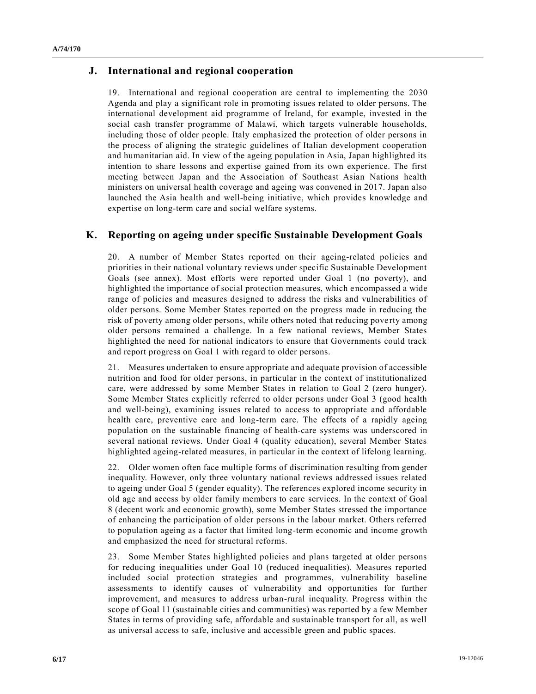## **J. International and regional cooperation**

19. International and regional cooperation are central to implementing the 2030 Agenda and play a significant role in promoting issues related to older persons. The international development aid programme of Ireland, for example, invested in the social cash transfer programme of Malawi, which targets vulnerable households, including those of older people. Italy emphasized the protection of older persons in the process of aligning the strategic guidelines of Italian development cooperation and humanitarian aid. In view of the ageing population in Asia, Japan highlighted its intention to share lessons and expertise gained from its own experience. The first meeting between Japan and the Association of Southeast Asian Nations health ministers on universal health coverage and ageing was convened in 2017. Japan also launched the Asia health and well-being initiative, which provides knowledge and expertise on long-term care and social welfare systems.

## **K. Reporting on ageing under specific Sustainable Development Goals**

20. A number of Member States reported on their ageing-related policies and priorities in their national voluntary reviews under specific Sustainable Development Goals (see annex). Most efforts were reported under Goal 1 (no poverty), and highlighted the importance of social protection measures, which encompassed a wide range of policies and measures designed to address the risks and vulnerabilities of older persons. Some Member States reported on the progress made in reducing the risk of poverty among older persons, while others noted that reducing pove rty among older persons remained a challenge. In a few national reviews, Member States highlighted the need for national indicators to ensure that Governments could track and report progress on Goal 1 with regard to older persons.

21. Measures undertaken to ensure appropriate and adequate provision of accessible nutrition and food for older persons, in particular in the context of institutionalized care, were addressed by some Member States in relation to Goal 2 (zero hunger). Some Member States explicitly referred to older persons under Goal 3 (good health and well-being), examining issues related to access to appropriate and affordable health care, preventive care and long-term care. The effects of a rapidly ageing population on the sustainable financing of health-care systems was underscored in several national reviews. Under Goal 4 (quality education), several Member States highlighted ageing-related measures, in particular in the context of lifelong learning.

22. Older women often face multiple forms of discrimination resulting from gender inequality. However, only three voluntary national reviews addressed issues related to ageing under Goal 5 (gender equality). The references explored income security in old age and access by older family members to care services. In the context of Goal 8 (decent work and economic growth), some Member States stressed the importance of enhancing the participation of older persons in the labour market. Others referred to population ageing as a factor that limited long-term economic and income growth and emphasized the need for structural reforms.

23. Some Member States highlighted policies and plans targeted at older persons for reducing inequalities under Goal 10 (reduced inequalities). Measures reported included social protection strategies and programmes, vulnerability baseline assessments to identify causes of vulnerability and opportunities for further improvement, and measures to address urban-rural inequality. Progress within the scope of Goal 11 (sustainable cities and communities) was reported by a few Member States in terms of providing safe, affordable and sustainable transport for all, as well as universal access to safe, inclusive and accessible green and public spaces.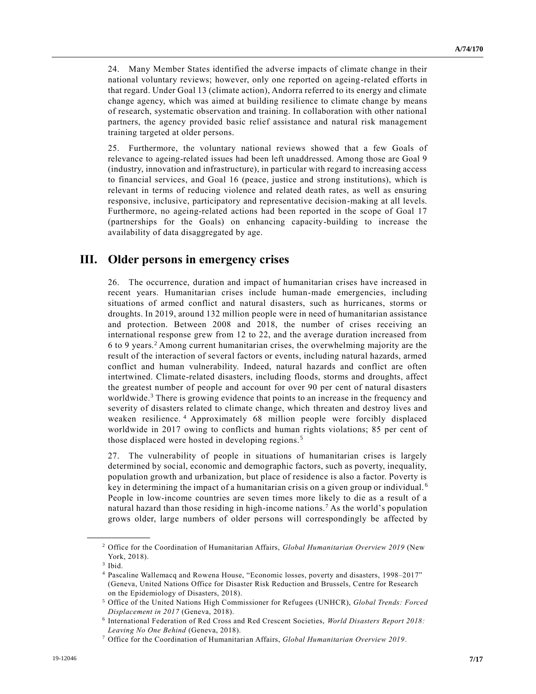24. Many Member States identified the adverse impacts of climate change in their national voluntary reviews; however, only one reported on ageing-related efforts in that regard. Under Goal 13 (climate action), Andorra referred to its energy and climate change agency, which was aimed at building resilience to climate change by means of research, systematic observation and training. In collaboration with other national partners, the agency provided basic relief assistance and natural risk management training targeted at older persons.

25. Furthermore, the voluntary national reviews showed that a few Goals of relevance to ageing-related issues had been left unaddressed. Among those are Goal 9 (industry, innovation and infrastructure), in particular with regard to increasing access to financial services, and Goal 16 (peace, justice and strong institutions), which is relevant in terms of reducing violence and related death rates, as well as ensuring responsive, inclusive, participatory and representative decision-making at all levels. Furthermore, no ageing-related actions had been reported in the scope of Goal 17 (partnerships for the Goals) on enhancing capacity-building to increase the availability of data disaggregated by age.

# **III. Older persons in emergency crises**

26. The occurrence, duration and impact of humanitarian crises have increased in recent years. Humanitarian crises include human-made emergencies, including situations of armed conflict and natural disasters, such as hurricanes, storms or droughts. In 2019, around 132 million people were in need of humanitarian assistance and protection. Between 2008 and 2018, the number of crises receiving an international response grew from 12 to 22, and the average duration increased from 6 to 9 years.<sup>2</sup> Among current humanitarian crises, the overwhelming majority are the result of the interaction of several factors or events, including natural hazards, armed conflict and human vulnerability. Indeed, natural hazards and conflict are often intertwined. Climate-related disasters, including floods, storms and droughts, affect the greatest number of people and account for over 90 per cent of natural disasters worldwide.<sup>3</sup> There is growing evidence that points to an increase in the frequency and severity of disasters related to climate change, which threaten and destroy lives and weaken resilience. <sup>4</sup> Approximately 68 million people were forcibly displaced worldwide in 2017 owing to conflicts and human rights violations; 85 per cent of those displaced were hosted in developing regions. <sup>5</sup>

27. The vulnerability of people in situations of humanitarian crises is largely determined by social, economic and demographic factors, such as poverty, inequality, population growth and urbanization, but place of residence is also a factor. Poverty is key in determining the impact of a humanitarian crisis on a given group or individual.<sup>6</sup> People in low-income countries are seven times more likely to die as a result of a natural hazard than those residing in high-income nations.<sup>7</sup> As the world's population grows older, large numbers of older persons will correspondingly be affected by

<sup>2</sup> Office for the Coordination of Humanitarian Affairs, *Global Humanitarian Overview 2019* (New York, 2018).

<sup>3</sup> Ibid.

<sup>4</sup> Pascaline Wallemacq and Rowena House, "Economic losses, poverty and disasters, 1998–2017" (Geneva, United Nations Office for Disaster Risk Reduction and Brussels, Centre for Research on the Epidemiology of Disasters, 2018).

<sup>5</sup> Office of the United Nations High Commissioner for Refugees (UNHCR), *Global Trends: Forced Displacement in 2017* (Geneva, 2018).

<sup>6</sup> International Federation of Red Cross and Red Crescent Societies, *World Disasters Report 2018: Leaving No One Behind* (Geneva, 2018).

<sup>7</sup> Office for the Coordination of Humanitarian Affairs, *Global Humanitarian Overview 2019*.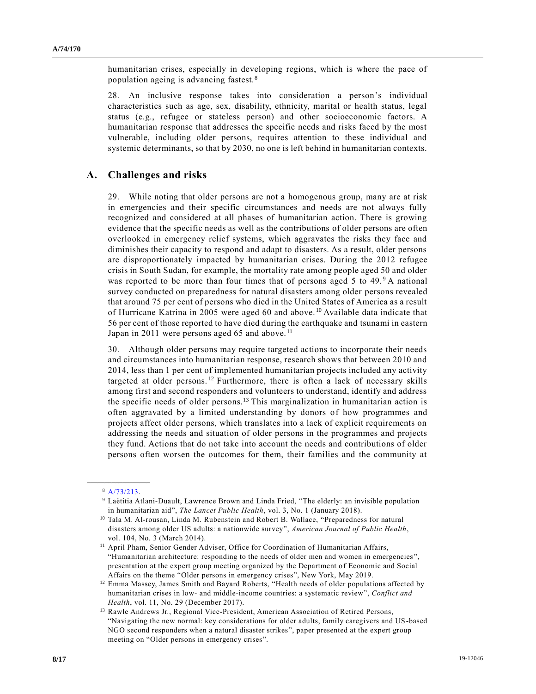humanitarian crises, especially in developing regions, which is where the pace of population ageing is advancing fastest. <sup>8</sup>

28. An inclusive response takes into consideration a person's individual characteristics such as age, sex, disability, ethnicity, marital or health status, legal status (e.g., refugee or stateless person) and other socioeconomic factors. A humanitarian response that addresses the specific needs and risks faced by the most vulnerable, including older persons, requires attention to these individual and systemic determinants, so that by 2030, no one is left behind in humanitarian contexts.

### **A. Challenges and risks**

29. While noting that older persons are not a homogenous group, many are at risk in emergencies and their specific circumstances and needs are not always fully recognized and considered at all phases of humanitarian action. There is growing evidence that the specific needs as well as the contributions of older persons are often overlooked in emergency relief systems, which aggravates the risks they face and diminishes their capacity to respond and adapt to disasters. As a result, older persons are disproportionately impacted by humanitarian crises. During the 2012 refugee crisis in South Sudan, for example, the mortality rate among people aged 50 and older was reported to be more than four times that of persons aged 5 to 49.<sup>9</sup> A national survey conducted on preparedness for natural disasters among older persons revealed that around 75 per cent of persons who died in the United States of America as a result of Hurricane Katrina in 2005 were aged 60 and above. <sup>10</sup> Available data indicate that 56 per cent of those reported to have died during the earthquake and tsunami in eastern Japan in 2011 were persons aged 65 and above.<sup>11</sup>

30. Although older persons may require targeted actions to incorporate their needs and circumstances into humanitarian response, research shows that between 2010 and 2014, less than 1 per cent of implemented humanitarian projects included any activity targeted at older persons.<sup>12</sup> Furthermore, there is often a lack of necessary skills among first and second responders and volunteers to understand, identify and address the specific needs of older persons.<sup>13</sup> This marginalization in humanitarian action is often aggravated by a limited understanding by donors of how programmes and projects affect older persons, which translates into a lack of explicit requirements on addressing the needs and situation of older persons in the programmes and projects they fund. Actions that do not take into account the needs and contributions of older persons often worsen the outcomes for them, their families and the community at

**\_\_\_\_\_\_\_\_\_\_\_\_\_\_\_\_\_\_** <sup>8</sup> [A/73/213.](https://undocs.org/en/A/73/213)

<sup>9</sup> Laëtitia Atlani-Duault, Lawrence Brown and Linda Fried, "The elderly: an invisible population in humanitarian aid", *The Lancet Public Health*, vol. 3, No. 1 (January 2018).

<sup>10</sup> Tala M. Al-rousan, Linda M. Rubenstein and Robert B. Wallace, "Preparedness for natural disasters among older US adults: a nationwide survey", *American Journal of Public Health*, vol. 104, No. 3 (March 2014).

<sup>&</sup>lt;sup>11</sup> April Pham, Senior Gender Adviser, Office for Coordination of Humanitarian Affairs, "Humanitarian architecture: responding to the needs of older men and women in emergencies ", presentation at the expert group meeting organized by the Department of Economic and Social Affairs on the theme "Older persons in emergency crises", New York, May 2019.

<sup>&</sup>lt;sup>12</sup> Emma Massey, James Smith and Bayard Roberts, "Health needs of older populations affected by humanitarian crises in low- and middle-income countries: a systematic review", *Conflict and Health*, vol. 11, No. 29 (December 2017).

<sup>&</sup>lt;sup>13</sup> Rawle Andrews Jr., Regional Vice-President, American Association of Retired Persons, "Navigating the new normal: key considerations for older adults, family caregivers and US-based NGO second responders when a natural disaster strikes", paper presented at the expert group meeting on "Older persons in emergency crises".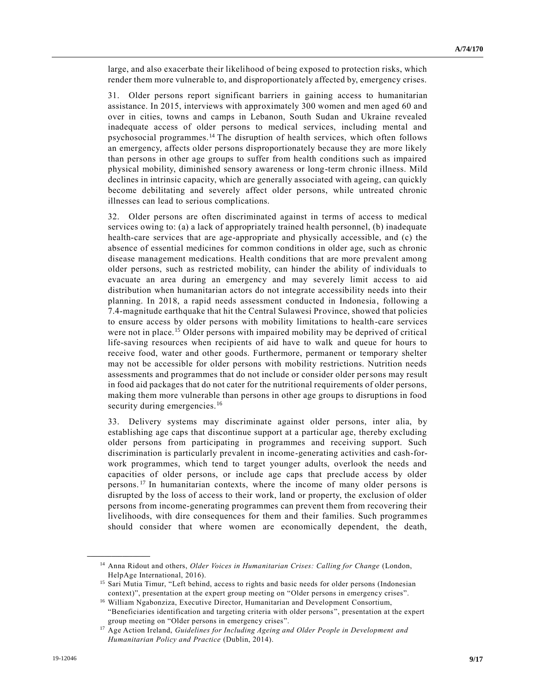large, and also exacerbate their likelihood of being exposed to protection risks, which render them more vulnerable to, and disproportionately affected by, emergency crises.

31. Older persons report significant barriers in gaining access to humanitarian assistance. In 2015, interviews with approximately 300 women and men aged 60 and over in cities, towns and camps in Lebanon, South Sudan and Ukraine revealed inadequate access of older persons to medical services, including mental and psychosocial programmes.<sup>14</sup> The disruption of health services, which often follows an emergency, affects older persons disproportionately because they are more likely than persons in other age groups to suffer from health conditions such as impaired physical mobility, diminished sensory awareness or long-term chronic illness. Mild declines in intrinsic capacity, which are generally associated with ageing, can quickly become debilitating and severely affect older persons, while untreated chronic illnesses can lead to serious complications.

32. Older persons are often discriminated against in terms of access to medical services owing to: (a) a lack of appropriately trained health personnel, (b) inadequate health-care services that are age-appropriate and physically accessible, and (c) the absence of essential medicines for common conditions in older age, such as chronic disease management medications. Health conditions that are more prevalent among older persons, such as restricted mobility, can hinder the ability of individuals to evacuate an area during an emergency and may severely limit access to aid distribution when humanitarian actors do not integrate accessibility needs into their planning. In 2018, a rapid needs assessment conducted in Indonesia, following a 7.4-magnitude earthquake that hit the Central Sulawesi Province, showed that policies to ensure access by older persons with mobility limitations to health-care services were not in place.<sup>15</sup> Older persons with impaired mobility may be deprived of critical life-saving resources when recipients of aid have to walk and queue for hours to receive food, water and other goods. Furthermore, permanent or temporary shelter may not be accessible for older persons with mobility restrictions. Nutrition needs assessments and programmes that do not include or consider older persons may result in food aid packages that do not cater for the nutritional requirements of older persons, making them more vulnerable than persons in other age groups to disruptions in food security during emergencies.<sup>16</sup>

33. Delivery systems may discriminate against older persons, inter alia, by establishing age caps that discontinue support at a particular age, thereby excluding older persons from participating in programmes and receiving support. Such discrimination is particularly prevalent in income-generating activities and cash-forwork programmes, which tend to target younger adults, overlook the needs and capacities of older persons, or include age caps that preclude access by older persons.<sup>17</sup> In humanitarian contexts, where the income of many older persons is disrupted by the loss of access to their work, land or property, the exclusion of older persons from income-generating programmes can prevent them from recovering their livelihoods, with dire consequences for them and their families. Such programmes should consider that where women are economically dependent, the death,

<sup>14</sup> Anna Ridout and others, *Older Voices in Humanitarian Crises: Calling for Change* (London, HelpAge International, 2016).

<sup>&</sup>lt;sup>15</sup> Sari Mutia Timur, "Left behind, access to rights and basic needs for older persons (Indonesian context)", presentation at the expert group meeting on "Older persons in emergency crises".

<sup>16</sup> William Ngabonziza, Executive Director, Humanitarian and Development Consortium, "Beneficiaries identification and targeting criteria with older persons", presentation at the expert group meeting on "Older persons in emergency crises".

<sup>17</sup> Age Action Ireland, *Guidelines for Including Ageing and Older People in Development and Humanitarian Policy and Practice* (Dublin, 2014).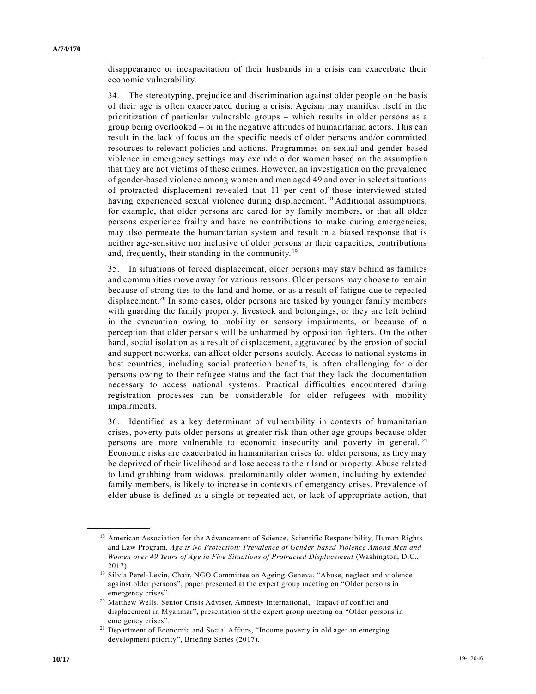disappearance or incapacitation of their husbands in a crisis can exacerbate their economic vulnerability.

34. The stereotyping, prejudice and discrimination against older people on the basis of their age is often exacerbated during a crisis. Ageism may manifest itself in the prioritization of particular vulnerable groups – which results in older persons as a group being overlooked – or in the negative attitudes of humanitarian actors. This can result in the lack of focus on the specific needs of older persons and/or committed resources to relevant policies and actions. Programmes on sexual and gender-based violence in emergency settings may exclude older women based on the assumption that they are not victims of these crimes. However, an investigation on the prevalence of gender-based violence among women and men aged 49 and over in select situations of protracted displacement revealed that 11 per cent of those interviewed stated having experienced sexual violence during displacement. <sup>18</sup> Additional assumptions, for example, that older persons are cared for by family members, or that all older persons experience frailty and have no contributions to make during emergencies, may also permeate the humanitarian system and result in a biased response that is neither age-sensitive nor inclusive of older persons or their capacities, contributions and, frequently, their standing in the community.<sup>19</sup>

35. In situations of forced displacement, older persons may stay behind as families and communities move away for various reasons. Older persons may choose to remain because of strong ties to the land and home, or as a result of fatigue due to repeated displacement.<sup>20</sup> In some cases, older persons are tasked by younger family members with guarding the family property, livestock and belongings, or they are left behind in the evacuation owing to mobility or sensory impairments, or because of a perception that older persons will be unharmed by opposition fighters. On the other hand, social isolation as a result of displacement, aggravated by the erosion of social and support networks, can affect older persons acutely. Access to national systems in host countries, including social protection benefits, is often challenging for older persons owing to their refugee status and the fact that they lack the documentation necessary to access national systems. Practical difficulties encountered during registration processes can be considerable for older refugees with mobility impairments.

36. Identified as a key determinant of vulnerability in contexts of humanitarian crises, poverty puts older persons at greater risk than other age groups because older persons are more vulnerable to economic insecurity and poverty in general.<sup>21</sup> Economic risks are exacerbated in humanitarian crises for older persons, as they may be deprived of their livelihood and lose access to their land or property. Abuse related to land grabbing from widows, predominantly older women, including by extended family members, is likely to increase in contexts of emergency crises. Prevalence of elder abuse is defined as a single or repeated act, or lack of appropriate action, that

<sup>&</sup>lt;sup>18</sup> American Association for the Advancement of Science, Scientific Responsibility, Human Rights and Law Program, *Age is No Protection: Prevalence of Gender-based Violence Among Men and Women over 49 Years of Age in Five Situations of Protracted Displacement* (Washington, D.C., 2017).

<sup>&</sup>lt;sup>19</sup> Silvia Perel-Levin, Chair, NGO Committee on Ageing-Geneva, "Abuse, neglect and violence against older persons", paper presented at the expert group meeting on "Older persons in emergency crises".

<sup>20</sup> Matthew Wells, Senior Crisis Adviser, Amnesty International, "Impact of conflict and displacement in Myanmar", presentation at the expert group meeting on "Older persons in emergency crises".

<sup>21</sup> Department of Economic and Social Affairs, "Income poverty in old age: an emerging development priority", Briefing Series (2017).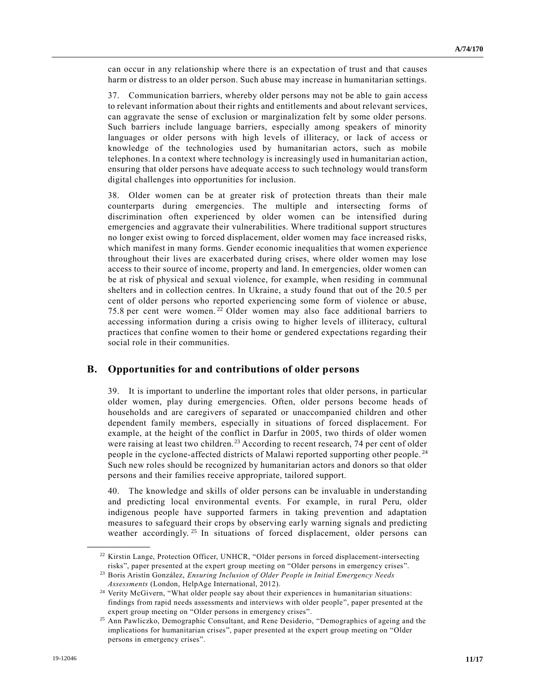can occur in any relationship where there is an expectation of trust and that causes harm or distress to an older person. Such abuse may increase in humanitarian settings.

37. Communication barriers, whereby older persons may not be able to gain access to relevant information about their rights and entitlements and about relevant services, can aggravate the sense of exclusion or marginalization felt by some older persons. Such barriers include language barriers, especially among speakers of minority languages or older persons with high levels of illiteracy, or lack of access or knowledge of the technologies used by humanitarian actors, such as mobile telephones. In a context where technology is increasingly used in humanitarian action, ensuring that older persons have adequate access to such technology would transform digital challenges into opportunities for inclusion.

38. Older women can be at greater risk of protection threats than their male counterparts during emergencies. The multiple and intersecting forms of discrimination often experienced by older women can be intensified during emergencies and aggravate their vulnerabilities. Where traditional support structures no longer exist owing to forced displacement, older women may face increased risks, which manifest in many forms. Gender economic inequalities that women experience throughout their lives are exacerbated during crises, where older women may lose access to their source of income, property and land. In emergencies, older women can be at risk of physical and sexual violence, for example, when residing in communal shelters and in collection centres. In Ukraine, a study found that out of the 20.5 per cent of older persons who reported experiencing some form of violence or abuse, 75.8 per cent were women.<sup>22</sup> Older women may also face additional barriers to accessing information during a crisis owing to higher levels of illiteracy, cultural practices that confine women to their home or gendered expectations regarding their social role in their communities.

## **B. Opportunities for and contributions of older persons**

39. It is important to underline the important roles that older persons, in particular older women, play during emergencies. Often, older persons become heads of households and are caregivers of separated or unaccompanied children and other dependent family members, especially in situations of forced displacement. For example, at the height of the conflict in Darfur in 2005, two thirds of older women were raising at least two children.<sup>23</sup> According to recent research, 74 per cent of older people in the cyclone-affected districts of Malawi reported supporting other people. <sup>24</sup> Such new roles should be recognized by humanitarian actors and donors so that older persons and their families receive appropriate, tailored support.

40. The knowledge and skills of older persons can be invaluable in understanding and predicting local environmental events. For example, in rural Peru, older indigenous people have supported farmers in taking prevention and adaptation measures to safeguard their crops by observing early warning signals and predicting weather accordingly.<sup>25</sup> In situations of forced displacement, older persons can

<sup>22</sup> Kirstin Lange, Protection Officer, UNHCR, "Older persons in forced displacement-intersecting risks", paper presented at the expert group meeting on "Older persons in emergency crises".

<sup>23</sup> Boris Aristín González, *Ensuring Inclusion of Older People in Initial Emergency Needs* 

*Assessments* (London, HelpAge International, 2012).

<sup>&</sup>lt;sup>24</sup> Verity McGivern, "What older people say about their experiences in humanitarian situations: findings from rapid needs assessments and interviews with older people", paper presented at the expert group meeting on "Older persons in emergency crises".

<sup>&</sup>lt;sup>25</sup> Ann Pawliczko, Demographic Consultant, and Rene Desiderio, "Demographics of ageing and the implications for humanitarian crises", paper presented at the expert group meeting on "Older persons in emergency crises".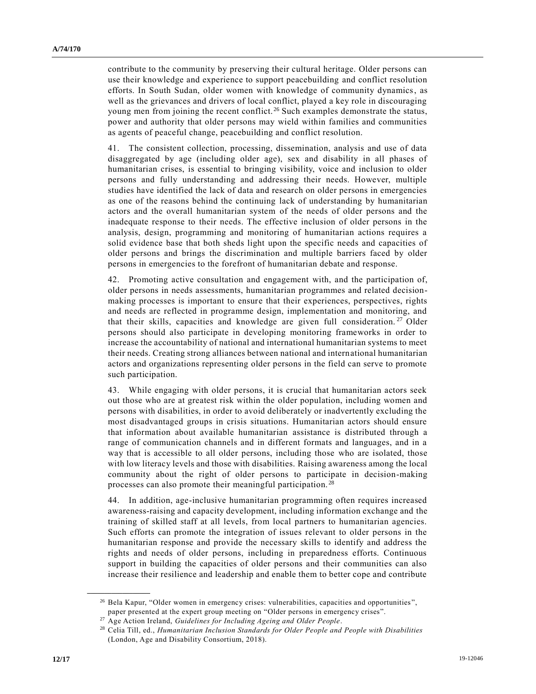contribute to the community by preserving their cultural heritage. Older persons can use their knowledge and experience to support peacebuilding and conflict resolution efforts. In South Sudan, older women with knowledge of community dynamics, as well as the grievances and drivers of local conflict, played a key role in discouraging young men from joining the recent conflict.<sup>26</sup> Such examples demonstrate the status, power and authority that older persons may wield within families and communities as agents of peaceful change, peacebuilding and conflict resolution.

41. The consistent collection, processing, dissemination, analysis and use of data disaggregated by age (including older age), sex and disability in all phases of humanitarian crises, is essential to bringing visibility, voice and inclusion to older persons and fully understanding and addressing their needs. However, multiple studies have identified the lack of data and research on older persons in emergencies as one of the reasons behind the continuing lack of understanding by humanitarian actors and the overall humanitarian system of the needs of older persons and the inadequate response to their needs. The effective inclusion of older persons in the analysis, design, programming and monitoring of humanitarian actions requires a solid evidence base that both sheds light upon the specific needs and capacities of older persons and brings the discrimination and multiple barriers faced by older persons in emergencies to the forefront of humanitarian debate and response.

42. Promoting active consultation and engagement with, and the participation of, older persons in needs assessments, humanitarian programmes and related decisionmaking processes is important to ensure that their experiences, perspectives, rights and needs are reflected in programme design, implementation and monitoring, and that their skills, capacities and knowledge are given full consideration.<sup>27</sup> Older persons should also participate in developing monitoring frameworks in order to increase the accountability of national and international humanitarian systems to meet their needs. Creating strong alliances between national and international humanitarian actors and organizations representing older persons in the field can serve to promote such participation.

43. While engaging with older persons, it is crucial that humanitarian actors seek out those who are at greatest risk within the older population, including women and persons with disabilities, in order to avoid deliberately or inadvertently excluding the most disadvantaged groups in crisis situations. Humanitarian actors should ensure that information about available humanitarian assistance is distributed through a range of communication channels and in different formats and languages, and in a way that is accessible to all older persons, including those who are isolated, those with low literacy levels and those with disabilities. Raising awareness among the local community about the right of older persons to participate in decision-making processes can also promote their meaningful participation. <sup>28</sup>

44. In addition, age-inclusive humanitarian programming often requires increased awareness-raising and capacity development, including information exchange and the training of skilled staff at all levels, from local partners to humanitarian agencies. Such efforts can promote the integration of issues relevant to older persons in the humanitarian response and provide the necessary skills to identify and address the rights and needs of older persons, including in preparedness efforts. Continuous support in building the capacities of older persons and their communities can also increase their resilience and leadership and enable them to better cope and contribute

<sup>&</sup>lt;sup>26</sup> Bela Kapur, "Older women in emergency crises: vulnerabilities, capacities and opportunities", paper presented at the expert group meeting on "Older persons in emergency crises".

<sup>27</sup> Age Action Ireland, *Guidelines for Including Ageing and Older People*.

<sup>28</sup> Celia Till, ed., *Humanitarian Inclusion Standards for Older People and People with Disabilities* (London, Age and Disability Consortium, 2018).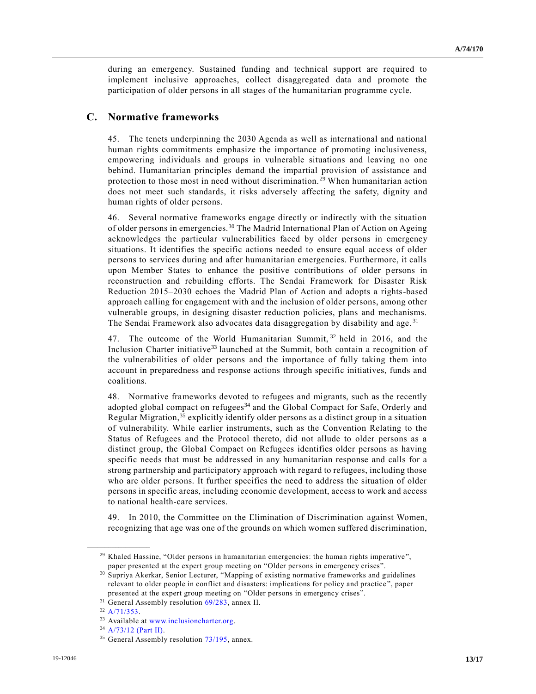during an emergency. Sustained funding and technical support are required to implement inclusive approaches, collect disaggregated data and promote the participation of older persons in all stages of the humanitarian programme cycle.

## **C. Normative frameworks**

45. The tenets underpinning the 2030 Agenda as well as international and national human rights commitments emphasize the importance of promoting inclusiveness, empowering individuals and groups in vulnerable situations and leaving no one behind. Humanitarian principles demand the impartial provision of assistance and protection to those most in need without discrimination. <sup>29</sup> When humanitarian action does not meet such standards, it risks adversely affecting the safety, dignity and human rights of older persons.

46. Several normative frameworks engage directly or indirectly with the situation of older persons in emergencies.<sup>30</sup> The Madrid International Plan of Action on Ageing acknowledges the particular vulnerabilities faced by older persons in emergency situations. It identifies the specific actions needed to ensure equal access of older persons to services during and after humanitarian emergencies. Furthermore, it calls upon Member States to enhance the positive contributions of older persons in reconstruction and rebuilding efforts. The Sendai Framework for Disaster Risk Reduction 2015–2030 echoes the Madrid Plan of Action and adopts a rights-based approach calling for engagement with and the inclusion of older persons, among other vulnerable groups, in designing disaster reduction policies, plans and mechanisms. The Sendai Framework also advocates data disaggregation by disability and age.<sup>31</sup>

47. The outcome of the World Humanitarian Summit, <sup>32</sup> held in 2016, and the Inclusion Charter initiative<sup>33</sup> launched at the Summit, both contain a recognition of the vulnerabilities of older persons and the importance of fully taking them into account in preparedness and response actions through specific initiatives, funds and coalitions.

48. Normative frameworks devoted to refugees and migrants, such as the recently adopted global compact on refugees<sup>34</sup> and the Global Compact for Safe, Orderly and Regular Migration, <sup>35</sup> explicitly identify older persons as a distinct group in a situation of vulnerability. While earlier instruments, such as the Convention Relating to the Status of Refugees and the Protocol thereto, did not allude to older persons as a distinct group, the Global Compact on Refugees identifies older persons as having specific needs that must be addressed in any humanitarian response and calls for a strong partnership and participatory approach with regard to refugees, including those who are older persons. It further specifies the need to address the situation of older persons in specific areas, including economic development, access to work and access to national health-care services.

49. In 2010, the Committee on the Elimination of Discrimination against Women, recognizing that age was one of the grounds on which women suffered discrimination,

 $29$  Khaled Hassine, "Older persons in humanitarian emergencies: the human rights imperative", paper presented at the expert group meeting on "Older persons in emergency crises".

<sup>30</sup> Supriya Akerkar, Senior Lecturer, "Mapping of existing normative frameworks and guidelines relevant to older people in conflict and disasters: implications for policy and practice ", paper presented at the expert group meeting on "Older persons in emergency crises".

<sup>&</sup>lt;sup>31</sup> General Assembly resolution [69/283,](https://undocs.org/en/A/RES/69/283) annex II.

<sup>32</sup> [A/71/353.](https://undocs.org/en/A/71/353)

<sup>33</sup> Available at [www.inclusioncharter.org.](http://www.inclusioncharter.org/)

<sup>34</sup> [A/73/12 \(Part II\).](https://undocs.org/en/A/73/12%20(Part%20II))

 $35$  General Assembly resolution  $73/195$ , annex.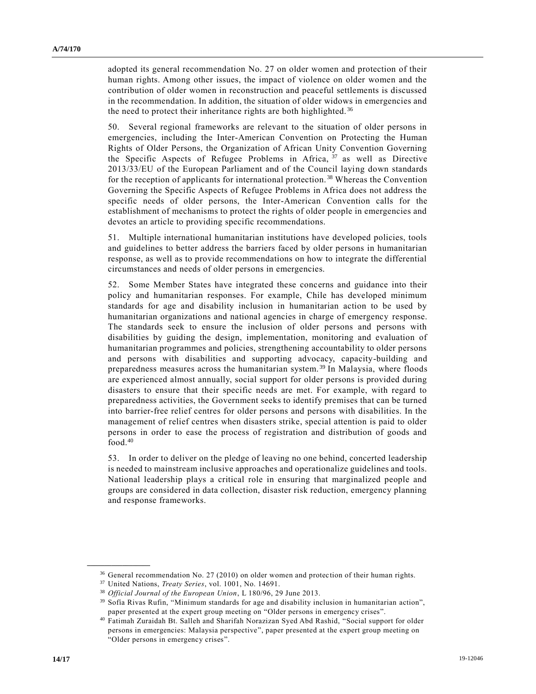adopted its general recommendation No. 27 on older women and protection of their human rights. Among other issues, the impact of violence on older women and the contribution of older women in reconstruction and peaceful settlements is discussed in the recommendation. In addition, the situation of older widows in emergencies and the need to protect their inheritance rights are both highlighted.<sup>36</sup>

50. Several regional frameworks are relevant to the situation of older persons in emergencies, including the Inter-American Convention on Protecting the Human Rights of Older Persons, the Organization of African Unity Convention Governing the Specific Aspects of Refugee Problems in Africa,  $37$  as well as Directive 2013/33/EU of the European Parliament and of the Council laying down standards for the reception of applicants for international protection. <sup>38</sup> Whereas the Convention Governing the Specific Aspects of Refugee Problems in Africa does not address the specific needs of older persons, the Inter-American Convention calls for the establishment of mechanisms to protect the rights of older people in emergencies and devotes an article to providing specific recommendations.

51. Multiple international humanitarian institutions have developed policies, tools and guidelines to better address the barriers faced by older persons in humanitarian response, as well as to provide recommendations on how to integrate the differential circumstances and needs of older persons in emergencies.

52. Some Member States have integrated these concerns and guidance into their policy and humanitarian responses. For example, Chile has developed minimum standards for age and disability inclusion in humanitarian action to be used by humanitarian organizations and national agencies in charge of emergency response. The standards seek to ensure the inclusion of older persons and persons with disabilities by guiding the design, implementation, monitoring and evaluation of humanitarian programmes and policies, strengthening accountability to older persons and persons with disabilities and supporting advocacy, capacity-building and preparedness measures across the humanitarian system.<sup>39</sup> In Malaysia, where floods are experienced almost annually, social support for older persons is provided during disasters to ensure that their specific needs are met. For example, with regard to preparedness activities, the Government seeks to identify premises that can be turned into barrier-free relief centres for older persons and persons with disabilities. In the management of relief centres when disasters strike, special attention is paid to older persons in order to ease the process of registration and distribution of goods and food.<sup>40</sup>

53. In order to deliver on the pledge of leaving no one behind, concerted leadership is needed to mainstream inclusive approaches and operationalize guidelines and tools. National leadership plays a critical role in ensuring that marginalized people and groups are considered in data collection, disaster risk reduction, emergency planning and response frameworks.

<sup>&</sup>lt;sup>36</sup> General recommendation No. 27 (2010) on older women and protection of their human rights.

<sup>37</sup> United Nations, *Treaty Series*, vol. 1001, No. 14691.

<sup>38</sup> *Official Journal of the European Union*, L 180/96, 29 June 2013.

<sup>39</sup> Sofía Rivas Rufin, "Minimum standards for age and disability inclusion in humanitarian action", paper presented at the expert group meeting on "Older persons in emergency crises".

<sup>40</sup> Fatimah Zuraidah Bt. Salleh and Sharifah Norazizan Syed Abd Rashid, "Social support for older persons in emergencies: Malaysia perspective", paper presented at the expert group meeting on "Older persons in emergency crises".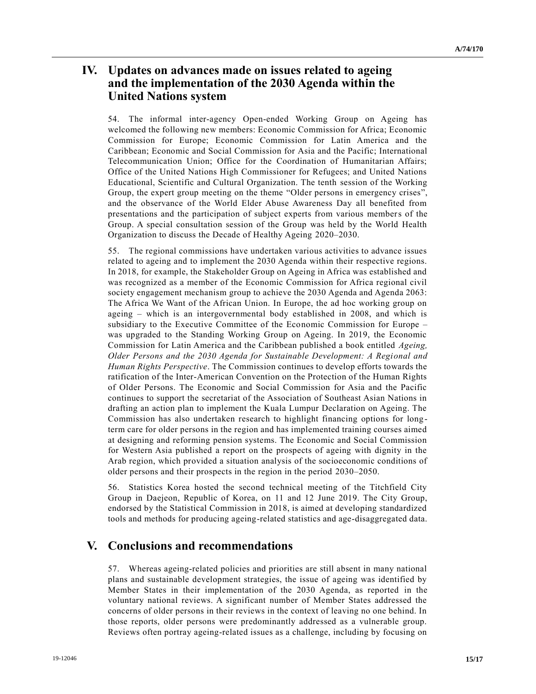# **IV. Updates on advances made on issues related to ageing and the implementation of the 2030 Agenda within the United Nations system**

54. The informal inter-agency Open-ended Working Group on Ageing has welcomed the following new members: Economic Commission for Africa; Economic Commission for Europe; Economic Commission for Latin America and the Caribbean; Economic and Social Commission for Asia and the Pacific; International Telecommunication Union; Office for the Coordination of Humanitarian Affairs; Office of the United Nations High Commissioner for Refugees; and United Nations Educational, Scientific and Cultural Organization. The tenth session of the Working Group, the expert group meeting on the theme "Older persons in emergency crises", and the observance of the World Elder Abuse Awareness Day all benefited from presentations and the participation of subject experts from various members of the Group. A special consultation session of the Group was held by the World Health Organization to discuss the Decade of Healthy Ageing 2020–2030.

55. The regional commissions have undertaken various activities to advance issues related to ageing and to implement the 2030 Agenda within their respective regions. In 2018, for example, the Stakeholder Group on Ageing in Africa was established and was recognized as a member of the Economic Commission for Africa regional civil society engagement mechanism group to achieve the 2030 Agenda and Agenda 2063: The Africa We Want of the African Union. In Europe, the ad hoc working group on ageing – which is an intergovernmental body established in 2008, and which is subsidiary to the Executive Committee of the Economic Commission for Europe – was upgraded to the Standing Working Group on Ageing. In 2019, the Economic Commission for Latin America and the Caribbean published a book entitled *Ageing, Older Persons and the 2030 Agenda for Sustainable Development: A Regional and Human Rights Perspective*. The Commission continues to develop efforts towards the ratification of the Inter-American Convention on the Protection of the Human Rights of Older Persons. The Economic and Social Commission for Asia and the Pacific continues to support the secretariat of the Association of Southeast Asian Nations in drafting an action plan to implement the Kuala Lumpur Declaration on Ageing. The Commission has also undertaken research to highlight financing options for long term care for older persons in the region and has implemented training courses aimed at designing and reforming pension systems. The Economic and Social Commission for Western Asia published a report on the prospects of ageing with dignity in the Arab region, which provided a situation analysis of the socioeconomic conditions of older persons and their prospects in the region in the period 2030–2050.

56. Statistics Korea hosted the second technical meeting of the Titchfield City Group in Daejeon, Republic of Korea, on 11 and 12 June 2019. The City Group, endorsed by the Statistical Commission in 2018, is aimed at developing standardized tools and methods for producing ageing-related statistics and age-disaggregated data.

# **V. Conclusions and recommendations**

57. Whereas ageing-related policies and priorities are still absent in many national plans and sustainable development strategies, the issue of ageing was identified by Member States in their implementation of the 2030 Agenda, as reported in the voluntary national reviews. A significant number of Member States addressed the concerns of older persons in their reviews in the context of leaving no one behind. In those reports, older persons were predominantly addressed as a vulnerable group. Reviews often portray ageing-related issues as a challenge, including by focusing on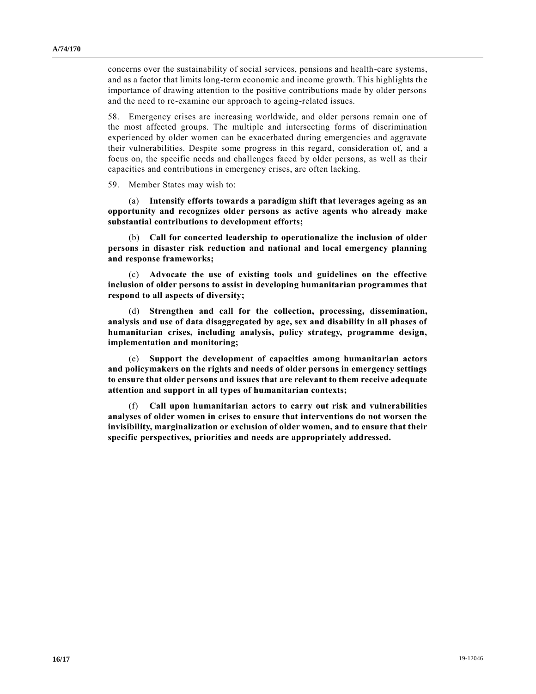concerns over the sustainability of social services, pensions and health-care systems, and as a factor that limits long-term economic and income growth. This highlights the importance of drawing attention to the positive contributions made by older persons and the need to re-examine our approach to ageing-related issues.

58. Emergency crises are increasing worldwide, and older persons remain one of the most affected groups. The multiple and intersecting forms of discrimination experienced by older women can be exacerbated during emergencies and aggravate their vulnerabilities. Despite some progress in this regard, consideration of, and a focus on, the specific needs and challenges faced by older persons, as well as their capacities and contributions in emergency crises, are often lacking.

59. Member States may wish to:

(a) **Intensify efforts towards a paradigm shift that leverages ageing as an opportunity and recognizes older persons as active agents who already make substantial contributions to development efforts;**

(b) **Call for concerted leadership to operationalize the inclusion of older persons in disaster risk reduction and national and local emergency planning and response frameworks;**

(c) **Advocate the use of existing tools and guidelines on the effective inclusion of older persons to assist in developing humanitarian programmes that respond to all aspects of diversity;**

(d) **Strengthen and call for the collection, processing, dissemination, analysis and use of data disaggregated by age, sex and disability in all phases of humanitarian crises, including analysis, policy strategy, programme design, implementation and monitoring;**

(e) **Support the development of capacities among humanitarian actors and policymakers on the rights and needs of older persons in emergency settings to ensure that older persons and issues that are relevant to them receive adequate attention and support in all types of humanitarian contexts;**

(f) **Call upon humanitarian actors to carry out risk and vulnerabilities analyses of older women in crises to ensure that interventions do not worsen the invisibility, marginalization or exclusion of older women, and to ensure that their specific perspectives, priorities and needs are appropriately addressed.**